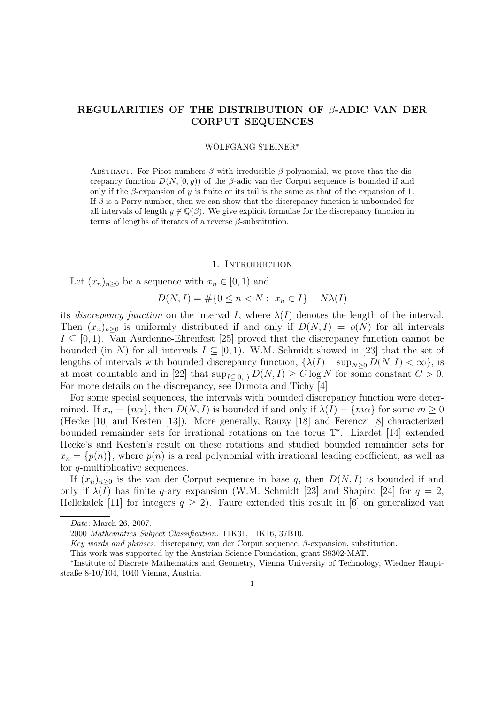# REGULARITIES OF THE DISTRIBUTION OF  $\beta$ -ADIC VAN DER CORPUT SEQUENCES

### WOLFGANG STEINER<sup>∗</sup>

ABSTRACT. For Pisot numbers  $\beta$  with irreducible  $\beta$ -polynomial, we prove that the discrepancy function  $D(N, [0, y))$  of the  $\beta$ -adic van der Corput sequence is bounded if and only if the  $\beta$ -expansion of y is finite or its tail is the same as that of the expansion of 1. If  $\beta$  is a Parry number, then we can show that the discrepancy function is unbounded for all intervals of length  $y \notin \mathbb{Q}(\beta)$ . We give explicit formulae for the discrepancy function in terms of lengths of iterates of a reverse  $\beta$ -substitution.

#### 1. INTRODUCTION

Let  $(x_n)_{n>0}$  be a sequence with  $x_n \in [0,1)$  and

$$
D(N, I) = \# \{ 0 \le n < N : x_n \in I \} - N\lambda(I)
$$

its discrepancy function on the interval I, where  $\lambda(I)$  denotes the length of the interval. Then  $(x_n)_{n>0}$  is uniformly distributed if and only if  $D(N, I) = o(N)$  for all intervals  $I \subseteq [0,1]$ . Van Aardenne-Ehrenfest [25] proved that the discrepancy function cannot be bounded (in N) for all intervals  $I \subseteq [0,1)$ . W.M. Schmidt showed in [23] that the set of lengths of intervals with bounded discrepancy function,  $\{\lambda(I): \sup_{N\geq 0} D(N, I) < \infty\}$ , is at most countable and in [22] that  $\sup_{I\subseteq[0,1)} D(N, I) \geq C \log N$  for some constant  $C > 0$ . For more details on the discrepancy, see Drmota and Tichy [4].

For some special sequences, the intervals with bounded discrepancy function were determined. If  $x_n = \{n\alpha\}$ , then  $D(N, I)$  is bounded if and only if  $\lambda(I) = \{m\alpha\}$  for some  $m \geq 0$ (Hecke [10] and Kesten [13]). More generally, Rauzy [18] and Ferenczi [8] characterized bounded remainder sets for irrational rotations on the torus  $\mathbb{T}^s$ . Liardet [14] extended Hecke's and Kesten's result on these rotations and studied bounded remainder sets for  $x_n = \{p(n)\}\$ , where  $p(n)$  is a real polynomial with irrational leading coefficient, as well as for q-multiplicative sequences.

If  $(x_n)_{n>0}$  is the van der Corput sequence in base q, then  $D(N, I)$  is bounded if and only if  $\lambda(I)$  has finite q-ary expansion (W.M. Schmidt [23] and Shapiro [24] for  $q = 2$ , Hellekalek [11] for integers  $q \ge 2$ ). Faure extended this result in [6] on generalized van

Date: March 26, 2007.

<sup>2000</sup> Mathematics Subject Classification. 11K31, 11K16, 37B10.

Key words and phrases. discrepancy, van der Corput sequence, β-expansion, substitution.

This work was supported by the Austrian Science Foundation, grant S8302-MAT.

<sup>∗</sup> Institute of Discrete Mathematics and Geometry, Vienna University of Technology, Wiedner Hauptstraße 8-10/104, 1040 Vienna, Austria.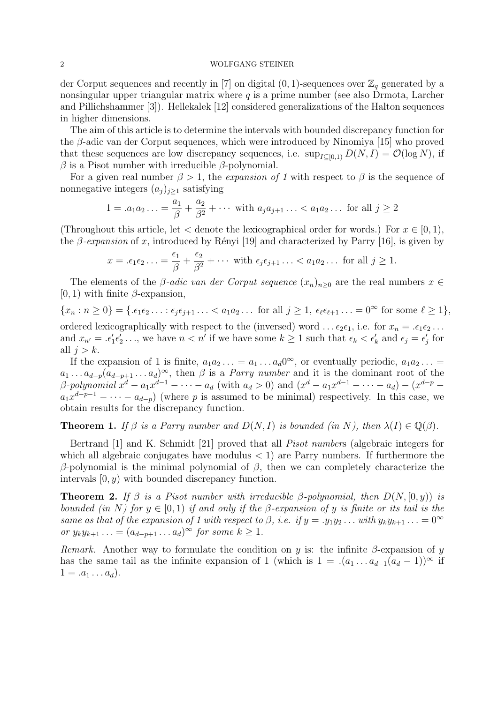der Corput sequences and recently in [7] on digital  $(0, 1)$ -sequences over  $\mathbb{Z}_q$  generated by a nonsingular upper triangular matrix where  $q$  is a prime number (see also Drmota, Larcher and Pillichshammer [3]). Hellekalek [12] considered generalizations of the Halton sequences in higher dimensions.

The aim of this article is to determine the intervals with bounded discrepancy function for the β-adic van der Corput sequences, which were introduced by Ninomiya [15] who proved that these sequences are low discrepancy sequences, i.e.  $\sup_{I\subset [0,1)} D(N, I) = \mathcal{O}(\log N)$ , if  $\beta$  is a Pisot number with irreducible  $\beta$ -polynomial.

For a given real number  $\beta > 1$ , the *expansion of 1* with respect to  $\beta$  is the sequence of nonnegative integers  $(a_j)_{j\geq 1}$  satisfying

$$
1 = .a_1 a_2 ... = \frac{a_1}{\beta} + \frac{a_2}{\beta^2} + \cdots
$$
 with  $a_j a_{j+1} ... < a_1 a_2 ...$  for all  $j \ge 2$ 

(Throughout this article, let  $\lt$  denote the lexicographical order for words.) For  $x \in [0, 1)$ , the  $\beta$ -expansion of x, introduced by Rényi [19] and characterized by Parry [16], is given by

$$
x = \epsilon_1 \epsilon_2 \ldots = \frac{\epsilon_1}{\beta} + \frac{\epsilon_2}{\beta^2} + \cdots \text{ with } \epsilon_j \epsilon_{j+1} \ldots < a_1 a_2 \ldots \text{ for all } j \ge 1.
$$

The elements of the *β-adic van der Corput sequence*  $(x_n)_{n>0}$  are the real numbers  $x \in$  $[0, 1)$  with finite  $\beta$ -expansion,

 $\{x_n : n \geq 0\} = \{\varepsilon_1 \varepsilon_2 \ldots : \varepsilon_j \varepsilon_{j+1} \ldots < a_1 a_2 \ldots \text{ for all } j \geq 1, \varepsilon_\ell \varepsilon_{\ell+1} \ldots = 0^\infty \text{ for some } \ell \geq 1\},\$ ordered lexicographically with respect to the (inversed) word ...  $\epsilon_2 \epsilon_1$ , i.e. for  $x_n = \epsilon_1 \epsilon_2 \ldots$ and  $x_{n'} = .\epsilon'_1 \epsilon'_2 \ldots$ , we have  $n < n'$  if we have some  $k \ge 1$  such that  $\epsilon_k < \epsilon'_k$  and  $\epsilon_j = \epsilon'_j$  for all  $j > k$ .

If the expansion of 1 is finite,  $a_1 a_2 \ldots = a_1 \ldots a_d 0^\infty$ , or eventually periodic,  $a_1 a_2 \ldots =$  $a_1 \ldots a_{d-p}(a_{d-p+1} \ldots a_d)^\infty$ , then  $\beta$  is a *Parry number* and it is the dominant root of the β-polynomial  $x^d - a_1 x^{d-1} - \cdots - a_d$  (with  $a_d > 0$ ) and  $(x^d - a_1 x^{d-1} - \cdots - a_d) - (x^{d-p} - a_d)$  $a_1x^{d-p-1} - \cdots - a_{d-p}$  (where p is assumed to be minimal) respectively. In this case, we obtain results for the discrepancy function.

**Theorem 1.** If  $\beta$  is a Parry number and  $D(N, I)$  is bounded (in N), then  $\lambda(I) \in \mathbb{Q}(\beta)$ .

Bertrand [1] and K. Schmidt [21] proved that all Pisot numbers (algebraic integers for which all algebraic conjugates have modulus  $\langle 1 \rangle$  are Parry numbers. If furthermore the β-polynomial is the minimal polynomial of β, then we can completely characterize the intervals  $[0, y)$  with bounded discrepancy function.

**Theorem 2.** If  $\beta$  is a Pisot number with irreducible  $\beta$ -polynomial, then  $D(N, [0, y))$  is bounded (in N) for  $y \in [0, 1)$  if and only if the β-expansion of y is finite or its tail is the same as that of the expansion of 1 with respect to  $\beta$ , i.e. if  $y = .y_1y_2...$  with  $y_ky_{k+1}... = 0^\infty$ or  $y_k y_{k+1} \ldots = (a_{d-p+1} \ldots a_d)^\infty$  for some  $k \geq 1$ .

Remark. Another way to formulate the condition on y is: the infinite  $\beta$ -expansion of y has the same tail as the infinite expansion of 1 (which is  $1 = .(a_1 ... a_{d-1}(a_d - 1))^{\infty}$  if  $1 = .a_1 \dots a_d$ .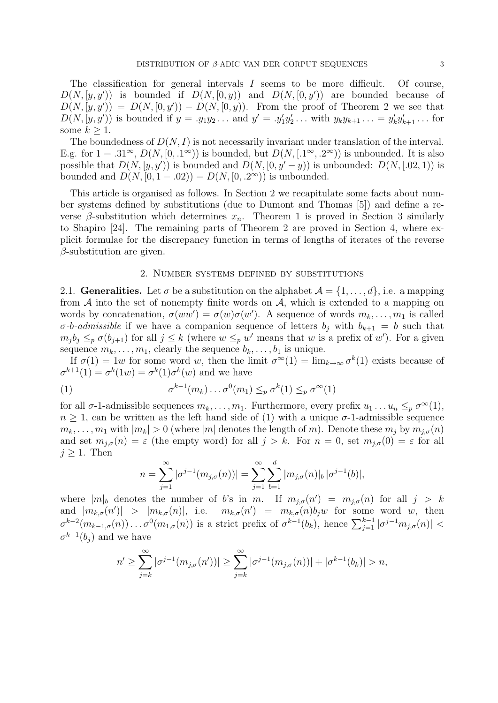The classification for general intervals I seems to be more difficult. Of course,  $D(N, [y, y'])$  is bounded if  $D(N, [0, y])$  and  $D(N, [0, y'])$  are bounded because of  $D(N, [y, y']) = D(N, [0, y']) - D(N, [0, y])$ . From the proof of Theorem 2 we see that  $D(N, [y, y'))$  is bounded if  $y = .y_1y_2...$  and  $y' = .y'_1y'_2...$  with  $y_ky_{k+1}... = y'_ky'_{k+1}...$  for some  $k \geq 1$ .

The boundedness of  $D(N, I)$  is not necessarily invariant under translation of the interval. E.g. for  $1 = .31^{\infty}$ ,  $D(N, [0, .1^{\infty}))$  is bounded, but  $D(N, [.1^{\infty}, .2^{\infty}))$  is unbounded. It is also possible that  $D(N, [y, y'))$  is bounded and  $D(N, [0, y'-y))$  is unbounded:  $D(N, [0, 2, 1))$  is bounded and  $D(N, [0, 1 - .02)) = D(N, [0, .2^{\infty}))$  is unbounded.

This article is organised as follows. In Section 2 we recapitulate some facts about number systems defined by substitutions (due to Dumont and Thomas [5]) and define a reverse  $\beta$ -substitution which determines  $x_n$ . Theorem 1 is proved in Section 3 similarly to Shapiro [24]. The remaining parts of Theorem 2 are proved in Section 4, where explicit formulae for the discrepancy function in terms of lengths of iterates of the reverse  $\beta$ -substitution are given.

### 2. Number systems defined by substitutions

2.1. Generalities. Let  $\sigma$  be a substitution on the alphabet  $\mathcal{A} = \{1, \ldots, d\}$ , i.e. a mapping from  $A$  into the set of nonempty finite words on  $A$ , which is extended to a mapping on words by concatenation,  $\sigma(ww') = \sigma(w)\sigma(w')$ . A sequence of words  $m_k, \ldots, m_1$  is called  $\sigma$ -b-admissible if we have a companion sequence of letters  $b_j$  with  $b_{k+1} = b$  such that  $m_j b_j \leq_p \sigma(b_{j+1})$  for all  $j \leq k$  (where  $w \leq_p w'$  means that w is a prefix of w'). For a given sequence  $m_k, \ldots, m_1$ , clearly the sequence  $b_k, \ldots, b_1$  is unique.

If  $\sigma(1) = 1w$  for some word w, then the limit  $\sigma^{\infty}(1) = \lim_{k \to \infty} \sigma^k(1)$  exists because of  $\sigma^{k+1}(1) = \sigma^k(1w) = \sigma^k(1)\sigma^k(w)$  and we have

(1) 
$$
\sigma^{k-1}(m_k)\dots\sigma^0(m_1) \leq_p \sigma^k(1) \leq_p \sigma^\infty(1)
$$

for all  $\sigma$ -1-admissible sequences  $m_k, \ldots, m_1$ . Furthermore, every prefix  $u_1 \ldots u_n \leq_p \sigma^{\infty}(1)$ ,  $n \geq 1$ , can be written as the left hand side of (1) with a unique  $\sigma$ -1-admissible sequence  $m_k, \ldots, m_1$  with  $|m_k| > 0$  (where  $|m|$  denotes the length of m). Denote these  $m_j$  by  $m_{j,\sigma}(n)$ and set  $m_{j,\sigma}(n) = \varepsilon$  (the empty word) for all  $j > k$ . For  $n = 0$ , set  $m_{j,\sigma}(0) = \varepsilon$  for all  $j \geq 1$ . Then

$$
n = \sum_{j=1}^{\infty} |\sigma^{j-1}(m_{j,\sigma}(n))| = \sum_{j=1}^{\infty} \sum_{b=1}^{d} |m_{j,\sigma}(n)|_b |\sigma^{j-1}(b)|,
$$

where  $|m|_b$  denotes the number of b's in m. If  $m_{j,\sigma}(n') = m_{j,\sigma}(n)$  for all  $j > k$ and  $|m_{k,\sigma}(n')| > |m_{k,\sigma}(n)|$ , i.e.  $m_{k,\sigma}(n') = m_{k,\sigma}(n)b_jw$  for some word w, then  $\sigma^{k-2}(m_{k-1,\sigma}(n))\ldots\sigma^0(m_{1,\sigma}(n))$  is a strict prefix of  $\sigma^{k-1}(b_k)$ , hence  $\sum_{j=1}^{k-1} |\sigma^{j-1}m_{j,\sigma}(n)| <$  $\sigma^{k-1}(b_j)$  and we have

$$
n' \geq \sum_{j=k}^{\infty} |\sigma^{j-1}(m_{j,\sigma}(n'))| \geq \sum_{j=k}^{\infty} |\sigma^{j-1}(m_{j,\sigma}(n))| + |\sigma^{k-1}(b_k)| > n,
$$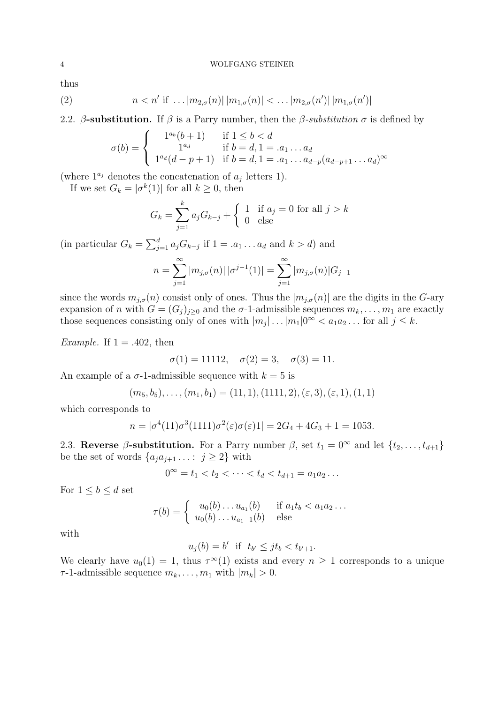thus

(2) 
$$
n < n'
$$
 if ...  $|m_{2,\sigma}(n)| |m_{1,\sigma}(n)| < ... |m_{2,\sigma}(n')| |m_{1,\sigma}(n')|$ 

2.2. β-substitution. If  $\beta$  is a Parry number, then the  $\beta$ -substitution  $\sigma$  is defined by

$$
\sigma(b) = \begin{cases}\n1^{a_b} (b+1) & \text{if } 1 \leq b < d \\
1^{a_d} & \text{if } b = d, 1 = a_1 \dots a_d \\
1^{a_d} (d-p+1) & \text{if } b = d, 1 = a_1 \dots a_{d-p} (a_{d-p+1} \dots a_d)^{\infty}\n\end{cases}
$$

(where  $1^{a_j}$  denotes the concatenation of  $a_j$  letters 1).

If we set  $G_k = |\sigma^k(1)|$  for all  $k \geq 0$ , then

$$
G_k = \sum_{j=1}^k a_j G_{k-j} + \begin{cases} 1 & \text{if } a_j = 0 \text{ for all } j > k \\ 0 & \text{else} \end{cases}
$$

(in particular  $G_k = \sum_{j=1}^d a_j G_{k-j}$  if  $1 = a_1 \dots a_d$  and  $k > d$ ) and

$$
n = \sum_{j=1}^{\infty} |m_{j,\sigma}(n)| |\sigma^{j-1}(1)| = \sum_{j=1}^{\infty} |m_{j,\sigma}(n)| G_{j-1}
$$

since the words  $m_{i,\sigma}(n)$  consist only of ones. Thus the  $|m_{i,\sigma}(n)|$  are the digits in the G-ary expansion of n with  $G = (G_i)_{i>0}$  and the  $\sigma$ -1-admissible sequences  $m_k, \ldots, m_1$  are exactly those sequences consisting only of ones with  $|m_j| \dots |m_1| 0^{\infty} < a_1 a_2 \dots$  for all  $j \leq k$ .

Example. If  $1 = .402$ , then

$$
\sigma(1) = 11112, \quad \sigma(2) = 3, \quad \sigma(3) = 11.
$$

An example of a  $\sigma$ -1-admissible sequence with  $k = 5$  is

$$
(m_5, b_5), \ldots, (m_1, b_1) = (11, 1), (1111, 2), (\varepsilon, 3), (\varepsilon, 1), (1, 1)
$$

which corresponds to

$$
n = |\sigma^{4}(11)\sigma^{3}(1111)\sigma^{2}(\varepsilon)\sigma(\varepsilon)1| = 2G_{4} + 4G_{3} + 1 = 1053.
$$

2.3. Reverse β-substitution. For a Parry number  $\beta$ , set  $t_1 = 0^\infty$  and let  $\{t_2, \ldots, t_{d+1}\}$ be the set of words  $\{a_j a_{j+1} \dots : j \geq 2\}$  with

$$
0^{\infty} = t_1 < t_2 < \cdots < t_d < t_{d+1} = a_1 a_2 \ldots
$$

For  $1 \leq b \leq d$  set

$$
\tau(b) = \begin{cases} u_0(b) \dots u_{a_1}(b) & \text{if } a_1 t_b < a_1 a_2 \dots \\ u_0(b) \dots u_{a_1-1}(b) & \text{else} \end{cases}
$$

with

$$
u_j(b) = b' \quad \text{if} \quad t_{b'} \leq j t_b < t_{b'+1}.
$$

We clearly have  $u_0(1) = 1$ , thus  $\tau^{\infty}(1)$  exists and every  $n \geq 1$  corresponds to a unique  $\tau$ -1-admissible sequence  $m_k, \ldots, m_1$  with  $|m_k| > 0$ .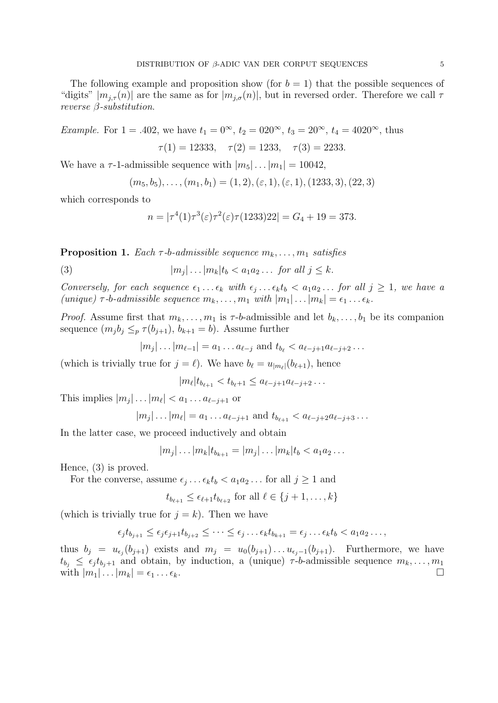The following example and proposition show (for  $b = 1$ ) that the possible sequences of "digits"  $|m_{j,\tau}(n)|$  are the same as for  $|m_{j,\sigma}(n)|$ , but in reversed order. Therefore we call  $\tau$ reverse β-substitution.

Example. For  $1 = .402$ , we have  $t_1 = 0^{\infty}$ ,  $t_2 = 020^{\infty}$ ,  $t_3 = 20^{\infty}$ ,  $t_4 = 4020^{\infty}$ , thus  $\tau(1) = 12333$ ,  $\tau(2) = 1233$ ,  $\tau(3) = 2233$ .

We have a  $\tau$ -1-admissible sequence with  $|m_5|...|m_1| = 10042$ ,

$$
(m_5, b_5), \ldots, (m_1, b_1) = (1, 2), (\varepsilon, 1), (\varepsilon, 1), (1233, 3), (22, 3)
$$

which corresponds to

$$
n = |\tau^{4}(1)\tau^{3}(\varepsilon)\tau^{2}(\varepsilon)\tau(1233)22| = G_{4} + 19 = 373.
$$

**Proposition 1.** Each  $\tau$ -b-admissible sequence  $m_k, \ldots, m_1$  satisfies

(3)  $|m_j|$  $|m_i| \dots | m_k| t_k < a_1 a_2 \dots$  for all  $j \leq k$ .

Conversely, for each sequence  $\epsilon_1 \ldots \epsilon_k$  with  $\epsilon_j \ldots \epsilon_k t_b < a_1 a_2 \ldots$  for all  $j \geq 1$ , we have a (unique)  $\tau$ -b-admissible sequence  $m_k, \ldots, m_1$  with  $|m_1| \ldots |m_k| = \epsilon_1 \ldots \epsilon_k$ .

*Proof.* Assume first that  $m_k, \ldots, m_1$  is  $\tau$ -b-admissible and let  $b_k, \ldots, b_1$  be its companion sequence  $(m_j b_j \leq_p \tau(b_{j+1}), b_{k+1} = b)$ . Assume further

$$
|m_j| \dots |m_{\ell-1}| = a_1 \dots a_{\ell-j}
$$
 and  $t_{b_\ell} < a_{\ell-j+1}a_{\ell-j+2} \dots$ 

(which is trivially true for  $j = \ell$ ). We have  $b_{\ell} = u_{|m_{\ell}|}(b_{\ell+1}),$  hence

$$
|m_{\ell}|t_{b_{\ell+1}} < t_{b_{\ell}+1} \leq a_{\ell-j+1}a_{\ell-j+2}\dots
$$

This implies  $|m_j| \dots |m_\ell| < a_1 \dots a_{\ell-j+1}$  or

$$
|m_j| \dots |m_\ell| = a_1 \dots a_{\ell-j+1}
$$
 and  $t_{b_{\ell+1}} < a_{\ell-j+2}a_{\ell-j+3} \dots$ 

In the latter case, we proceed inductively and obtain

$$
|m_j| \dots |m_k| t_{b_{k+1}} = |m_j| \dots |m_k| t_b < a_1 a_2 \dots
$$

Hence, (3) is proved.

For the converse, assume  $\epsilon_j \dots \epsilon_k t_b < a_1 a_2 \dots$  for all  $j \ge 1$  and

$$
t_{b_{\ell+1}} \leq \epsilon_{\ell+1} t_{b_{\ell+2}} \text{ for all } \ell \in \{j+1,\ldots,k\}
$$

(which is trivially true for  $j = k$ ). Then we have

$$
\epsilon_j t_{b_{j+1}} \leq \epsilon_j \epsilon_{j+1} t_{b_{j+2}} \leq \cdots \leq \epsilon_j \ldots \epsilon_k t_{b_{k+1}} = \epsilon_j \ldots \epsilon_k t_b < a_1 a_2 \ldots,
$$

thus  $b_j = u_{\epsilon_j}(b_{j+1})$  exists and  $m_j = u_0(b_{j+1}) \dots u_{\epsilon_j-1}(b_{j+1})$ . Furthermore, we have  $t_{b_j} \leq \epsilon_j t_{b_j+1}$  and obtain, by induction, a (unique)  $\tau$ -b-admissible sequence  $m_k, \ldots, m_1$ with  $|m_1| \dots |m_k| = \epsilon_1 \dots \epsilon_k$ .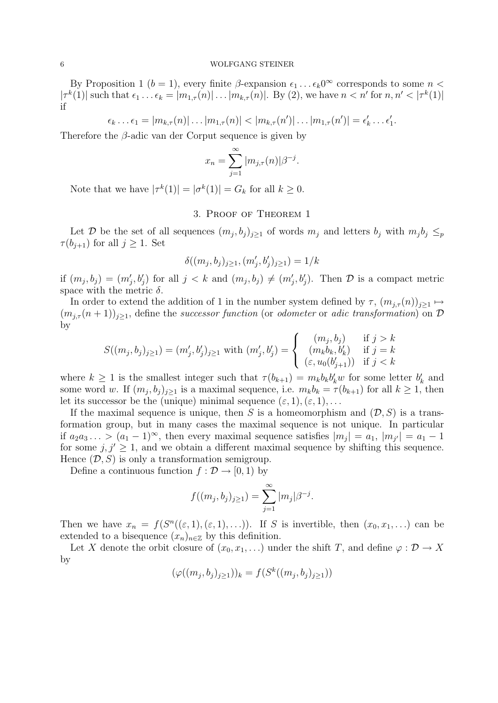By Proposition 1 ( $b = 1$ ), every finite  $\beta$ -expansion  $\epsilon_1 \dots \epsilon_k 0^\infty$  corresponds to some  $n <$  $|\tau^k(1)|$  such that  $\epsilon_1 \dots \epsilon_k = |m_{1,\tau}(n)| \dots |m_{k,\tau}(n)|$ . By (2), we have  $n < n'$  for  $n, n' < |\tau^k(1)|$ if

$$
\epsilon_k \ldots \epsilon_1 = |m_{k,\tau}(n)| \ldots |m_{1,\tau}(n)| < |m_{k,\tau}(n')| \ldots |m_{1,\tau}(n')| = \epsilon'_k \ldots \epsilon'_1.
$$

Therefore the β-adic van der Corput sequence is given by

$$
x_n = \sum_{j=1}^{\infty} |m_{j,\tau}(n)| \beta^{-j}.
$$

Note that we have  $|\tau^k(1)| = |\sigma^k(1)| = G_k$  for all  $k \geq 0$ .

## 3. Proof of Theorem 1

Let D be the set of all sequences  $(m_j, b_j)_{j \geq 1}$  of words  $m_j$  and letters  $b_j$  with  $m_j b_j \leq p$  $\tau(b_{j+1})$  for all  $j \geq 1$ . Set

$$
\delta((m_j, b_j)_{j \ge 1}, (m'_j, b'_j)_{j \ge 1}) = 1/k
$$

if  $(m_j, b_j) = (m'_j, b'_j)$  for all  $j < k$  and  $(m_j, b_j) \neq (m'_j, b'_j)$ . Then  $\mathcal D$  is a compact metric space with the metric  $\delta$ .

In order to extend the addition of 1 in the number system defined by  $\tau$ ,  $(m_{j,\tau}(n))_{j\geq 1} \mapsto$  $(m_{j,\tau}(n+1))_{j\geq 1}$ , define the successor function (or odometer or adic transformation) on  $\mathcal D$ by

$$
S((m_j, b_j)_{j \ge 1}) = (m'_j, b'_j)_{j \ge 1} \text{ with } (m'_j, b'_j) = \begin{cases} (m_j, b_j) & \text{if } j > k \\ (m_k b_k, b'_k) & \text{if } j = k \\ (\varepsilon, u_0(b'_{j+1})) & \text{if } j < k \end{cases}
$$

where  $k \geq 1$  is the smallest integer such that  $\tau(b_{k+1}) = m_k b_k b'_k w$  for some letter  $b'_k$  and some word w. If  $(m_j, b_j)_{j \geq 1}$  is a maximal sequence, i.e.  $m_k b_k = \tau(b_{k+1})$  for all  $k \geq 1$ , then let its successor be the (unique) minimal sequence  $(\varepsilon, 1), (\varepsilon, 1), \ldots$ 

If the maximal sequence is unique, then S is a homeomorphism and  $(D, S)$  is a transformation group, but in many cases the maximal sequence is not unique. In particular if  $a_2a_3\ldots > (a_1-1)^\infty$ , then every maximal sequence satisfies  $|m_j| = a_1$ ,  $|m_{j'}| = a_1 - 1$ for some  $j, j' \geq 1$ , and we obtain a different maximal sequence by shifting this sequence. Hence  $(D, S)$  is only a transformation semigroup.

Define a continuous function  $f : \mathcal{D} \to [0, 1)$  by

$$
f((m_j, b_j)_{j \ge 1}) = \sum_{j=1}^{\infty} |m_j| \beta^{-j}.
$$

Then we have  $x_n = f(S^n((\varepsilon, 1), (\varepsilon, 1), \ldots)).$  If S is invertible, then  $(x_0, x_1, \ldots)$  can be extended to a bisequence  $(x_n)_{n\in\mathbb{Z}}$  by this definition.

Let X denote the orbit closure of  $(x_0, x_1, \ldots)$  under the shift T, and define  $\varphi : \mathcal{D} \to X$ by

$$
(\varphi((m_j, b_j)_{j \ge 1}))_k = f(S^k((m_j, b_j)_{j \ge 1}))
$$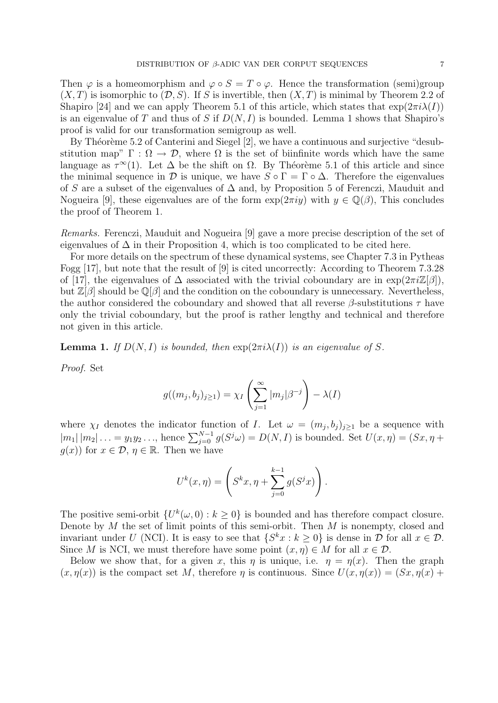Then  $\varphi$  is a homeomorphism and  $\varphi \circ S = T \circ \varphi$ . Hence the transformation (semi)group  $(X, T)$  is isomorphic to  $(D, S)$ . If S is invertible, then  $(X, T)$  is minimal by Theorem 2.2 of Shapiro [24] and we can apply Theorem 5.1 of this article, which states that  $\exp(2\pi i\lambda(I))$ is an eigenvalue of T and thus of S if  $D(N, I)$  is bounded. Lemma 1 shows that Shapiro's proof is valid for our transformation semigroup as well.

By Théorème 5.2 of Canterini and Siegel  $[2]$ , we have a continuous and surjective "desubstitution map"  $\Gamma : \Omega \to \mathcal{D}$ , where  $\Omega$  is the set of biinfinite words which have the same language as  $\tau^{\infty}(1)$ . Let  $\Delta$  be the shift on  $\Omega$ . By Théorème 5.1 of this article and since the minimal sequence in  $\mathcal D$  is unique, we have  $S \circ \Gamma = \Gamma \circ \Delta$ . Therefore the eigenvalues of S are a subset of the eigenvalues of ∆ and, by Proposition 5 of Ferenczi, Mauduit and Nogueira [9], these eigenvalues are of the form  $\exp(2\pi i y)$  with  $y \in \mathbb{Q}(\beta)$ , This concludes the proof of Theorem 1.

Remarks. Ferenczi, Mauduit and Nogueira [9] gave a more precise description of the set of eigenvalues of  $\Delta$  in their Proposition 4, which is too complicated to be cited here.

For more details on the spectrum of these dynamical systems, see Chapter 7.3 in Pytheas Fogg [17], but note that the result of [9] is cited uncorrectly: According to Theorem 7.3.28 of [17], the eigenvalues of  $\Delta$  associated with the trivial coboundary are in  $\exp(2\pi i \mathbb{Z}[\beta])$ , but  $\mathbb{Z}[\beta]$  should be  $\mathbb{Q}[\beta]$  and the condition on the coboundary is unnecessary. Nevertheless, the author considered the coboundary and showed that all reverse  $\beta$ -substitutions  $\tau$  have only the trivial coboundary, but the proof is rather lengthy and technical and therefore not given in this article.

**Lemma 1.** If  $D(N, I)$  is bounded, then  $\exp(2\pi i \lambda(I))$  is an eigenvalue of S.

Proof. Set

$$
g((m_j, b_j)_{j \ge 1}) = \chi_I \left( \sum_{j=1}^{\infty} |m_j| \beta^{-j} \right) - \lambda(I)
$$

where  $\chi_I$  denotes the indicator function of I. Let  $\omega = (m_j, b_j)_{j \geq 1}$  be a sequence with  $|m_1| |m_2| \dots = y_1 y_2 \dots$ , hence  $\sum_{j=0}^{N-1} g(S^j \omega) = D(N, I)$  is bounded. Set  $U(x, \eta) = (Sx, \eta +$  $g(x)$  for  $x \in \mathcal{D}, \eta \in \mathbb{R}$ . Then we have

$$
U^{k}(x, \eta) = \left(S^{k}x, \eta + \sum_{j=0}^{k-1} g(S^{j}x)\right).
$$

The positive semi-orbit  $\{U^k(\omega, 0) : k \geq 0\}$  is bounded and has therefore compact closure. Denote by  $M$  the set of limit points of this semi-orbit. Then  $M$  is nonempty, closed and invariant under U (NCI). It is easy to see that  $\{S^k x : k \geq 0\}$  is dense in D for all  $x \in \mathcal{D}$ . Since M is NCI, we must therefore have some point  $(x, \eta) \in M$  for all  $x \in \mathcal{D}$ .

Below we show that, for a given x, this  $\eta$  is unique, i.e.  $\eta = \eta(x)$ . Then the graph  $(x, \eta(x))$  is the compact set M, therefore  $\eta$  is continuous. Since  $U(x, \eta(x)) = (Sx, \eta(x))$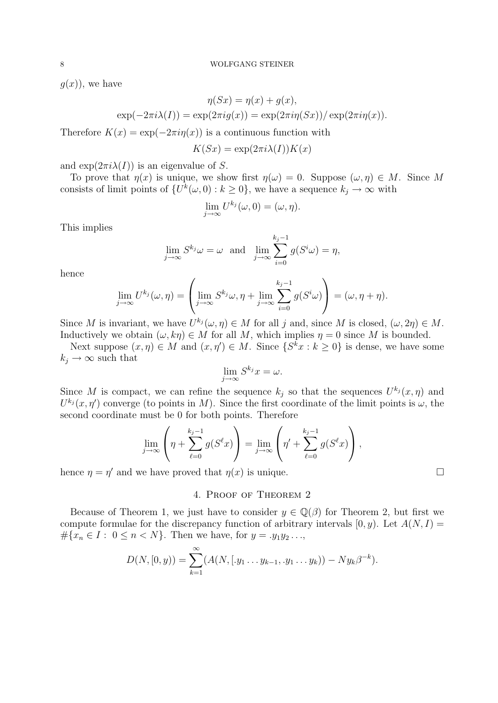$g(x)$ , we have

$$
\eta(Sx) = \eta(x) + g(x),
$$
  
 
$$
\exp(-2\pi i \lambda(I)) = \exp(2\pi i g(x)) = \exp(2\pi i \eta(Sx)) / \exp(2\pi i \eta(x)).
$$

Therefore  $K(x) = \exp(-2\pi i \eta(x))$  is a continuous function with

$$
K(Sx) = \exp(2\pi i \lambda(I))K(x)
$$

and  $\exp(2\pi i \lambda(I))$  is an eigenvalue of S.

To prove that  $\eta(x)$  is unique, we show first  $\eta(\omega) = 0$ . Suppose  $(\omega, \eta) \in M$ . Since M consists of limit points of  $\{U^k(\omega,0): k \geq 0\}$ , we have a sequence  $k_j \to \infty$  with

$$
\lim_{j\to\infty} U^{k_j}(\omega,0)=(\omega,\eta).
$$

This implies

$$
\lim_{j \to \infty} S^{k_j} \omega = \omega \text{ and } \lim_{j \to \infty} \sum_{i=0}^{k_j - 1} g(S^i \omega) = \eta,
$$

hence

$$
\lim_{j\to\infty} U^{k_j}(\omega,\eta) = \left(\lim_{j\to\infty} S^{k_j}\omega, \eta + \lim_{j\to\infty} \sum_{i=0}^{k_j-1} g(S^i\omega)\right) = (\omega, \eta + \eta).
$$

Since M is invariant, we have  $U^{k_j}(\omega, \eta) \in M$  for all j and, since M is closed,  $(\omega, 2\eta) \in M$ . Inductively we obtain  $(\omega, k\eta) \in M$  for all M, which implies  $\eta = 0$  since M is bounded.

Next suppose  $(x, \eta) \in M$  and  $(x, \eta') \in M$ . Since  $\{S^k x : k \geq 0\}$  is dense, we have some  $k_j \rightarrow \infty$  such that

$$
\lim_{j \to \infty} S^{k_j} x = \omega.
$$

Since M is compact, we can refine the sequence  $k_j$  so that the sequences  $U^{k_j}(x, \eta)$  and  $U^{k_j}(x, \eta')$  converge (to points in M). Since the first coordinate of the limit points is  $\omega$ , the second coordinate must be 0 for both points. Therefore

$$
\lim_{j \to \infty} \left( \eta + \sum_{\ell=0}^{k_j-1} g(S^{\ell} x) \right) = \lim_{j \to \infty} \left( \eta' + \sum_{\ell=0}^{k_j-1} g(S^{\ell} x) \right),
$$

hence  $\eta = \eta'$  and we have proved that  $\eta(x)$  is unique.

## 4. Proof of Theorem 2

Because of Theorem 1, we just have to consider  $y \in \mathbb{Q}(\beta)$  for Theorem 2, but first we compute formulae for the discrepancy function of arbitrary intervals  $[0, y)$ . Let  $A(N, I)$  =  $\#\{x_n \in I : 0 \le n < N\}$ . Then we have, for  $y = .y_1y_2...$ 

$$
D(N, [0, y)) = \sum_{k=1}^{\infty} (A(N, [y_1 \dots y_{k-1}, y_1 \dots y_k)) - Ny_k \beta^{-k}).
$$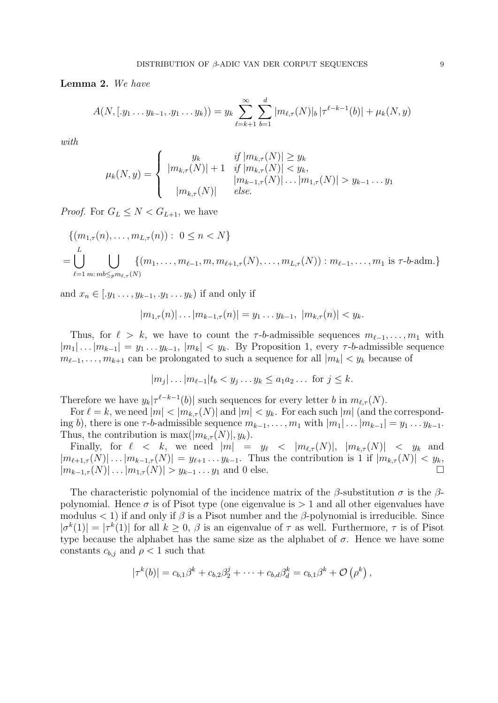Lemma 2. We have

$$
A(N, [.y_1 \ldots y_{k-1}, .y_1 \ldots y_k)) = y_k \sum_{\ell=k+1}^{\infty} \sum_{b=1}^d |m_{\ell, \tau}(N)|_b |\tau^{\ell-k-1}(b)| + \mu_k(N, y)
$$

with

$$
\mu_k(N, y) = \begin{cases}\ny_k & \text{if } |m_{k,\tau}(N)| \ge y_k \\
|m_{k,\tau}(N)| + 1 & \text{if } |m_{k,\tau}(N)| < y_k, \\
|m_{k-1,\tau}(N)| \dots |m_{1,\tau}(N)| > y_{k-1} \dots y_1 \\
|m_{k,\tau}(N)| & \text{else.}\n\end{cases}
$$

*Proof.* For  $G_L \leq N < G_{L+1}$ , we have

$$
\{(m_{1,\tau}(n), \ldots, m_{L,\tau}(n)) : 0 \le n < N\}
$$
\n
$$
= \bigcup_{\ell=1}^{L} \bigcup_{m:\,m \le \tau_{\ell} m_{\ell,\tau}(N)} \{(m_1, \ldots, m_{\ell-1}, m, m_{\ell+1,\tau}(N), \ldots, m_{L,\tau}(N)) : m_{\ell-1}, \ldots, m_1 \text{ is } \tau \text{-}b\text{-adm.}\}
$$

and  $x_n \in [y_1, \ldots, y_{k-1}, y_1, \ldots, y_k)$  if and only if

$$
|m_{1,\tau}(n)| \dots |m_{k-1,\tau}(n)| = y_1 \dots y_{k-1}, \ |m_{k,\tau}(n)| < y_k.
$$

Thus, for  $\ell > k$ , we have to count the  $\tau$ -b-admissible sequences  $m_{\ell-1}, \ldots, m_1$  with  $|m_1| \dots |m_{k-1}| = y_1 \dots y_{k-1}, |m_k| < y_k$ . By Proposition 1, every  $\tau$ -b-admissible sequence  $m_{\ell-1}, \ldots, m_{k+1}$  can be prolongated to such a sequence for all  $|m_k| < y_k$  because of

$$
|m_j| \dots |m_{\ell-1}| t_b < y_j \dots y_k \le a_1 a_2 \dots \text{ for } j \le k.
$$

Therefore we have  $y_k|\tau^{\ell-k-1}(b)|$  such sequences for every letter b in  $m_{\ell,\tau}(N)$ .

For  $\ell = k$ , we need  $|m| < |m_{k,\tau}(N)|$  and  $|m| < y_k$ . For each such  $|m|$  (and the corresponding b), there is one  $\tau$ -b-admissible sequence  $m_{k-1}, \ldots, m_1$  with  $|m_1| \ldots |m_{k-1}| = y_1 \ldots y_{k-1}$ . Thus, the contribution is  $\max(|m_{k,\tau}(N)|, y_k)$ .

Finally, for  $\ell < k$ , we need  $|m| = y_{\ell} < |m_{\ell,\tau}(N)|$ ,  $|m_{k,\tau}(N)| < y_k$  and  $|m_{\ell+1,\tau}(N)| \dots |m_{k-1,\tau}(N)| = y_{\ell+1} \dots y_{k-1}$ . Thus the contribution is 1 if  $|m_{k,\tau}(N)| < y_k$ ,  $|m_{k-1,\tau}(N)| \dots |m_{1,\tau}(N)| > y_{k-1} \dots y_1$  and 0 else.

The characteristic polynomial of the incidence matrix of the  $\beta$ -substitution  $\sigma$  is the  $\beta$ polynomial. Hence  $\sigma$  is of Pisot type (one eigenvalue is  $> 1$  and all other eigenvalues have modulus  $\langle 1 \rangle$  if and only if  $\beta$  is a Pisot number and the  $\beta$ -polynomial is irreducible. Since  $|\sigma^k(1)| = |\tau^k(1)|$  for all  $k \geq 0$ ,  $\beta$  is an eigenvalue of  $\tau$  as well. Furthermore,  $\tau$  is of Pisot type because the alphabet has the same size as the alphabet of  $\sigma$ . Hence we have some constants  $c_{b,j}$  and  $\rho < 1$  such that

$$
|\tau^{k}(b)| = c_{b,1}\beta^{k} + c_{b,2}\beta_{2}^{j} + \cdots + c_{b,d}\beta_{d}^{k} = c_{b,1}\beta^{k} + \mathcal{O}(\rho^{k}),
$$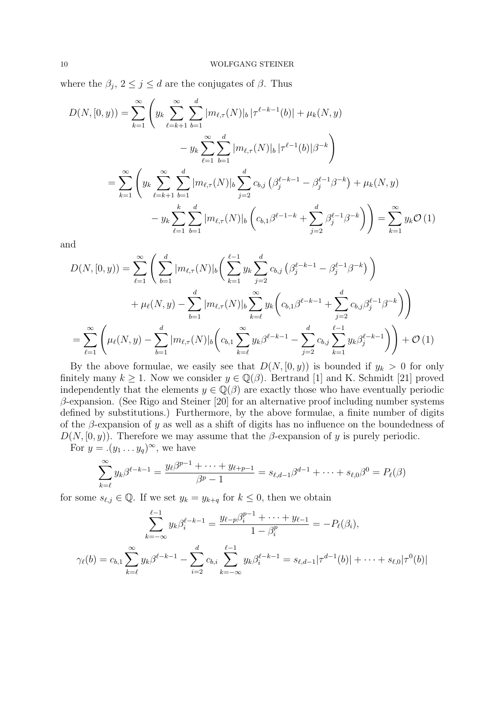where the  $\beta_j$ ,  $2 \leq j \leq d$  are the conjugates of  $\beta$ . Thus

$$
D(N, [0, y)) = \sum_{k=1}^{\infty} \left( y_k \sum_{\ell=k+1}^{\infty} \sum_{b=1}^{d} |m_{\ell, \tau}(N)|_b |\tau^{\ell-k-1}(b)| + \mu_k(N, y)
$$
  

$$
- y_k \sum_{\ell=1}^{\infty} \sum_{b=1}^{d} |m_{\ell, \tau}(N)|_b |\tau^{\ell-1}(b)| \beta^{-k} \right)
$$
  

$$
= \sum_{k=1}^{\infty} \left( y_k \sum_{\ell=k+1}^{\infty} \sum_{b=1}^{d} |m_{\ell, \tau}(N)|_b \sum_{j=2}^{d} c_{b,j} (\beta_j^{\ell-k-1} - \beta_j^{\ell-1} \beta^{-k}) + \mu_k(N, y)
$$
  

$$
- y_k \sum_{\ell=1}^{k} \sum_{b=1}^{d} |m_{\ell, \tau}(N)|_b (\left(c_{b,1} \beta^{\ell-1-k} + \sum_{j=2}^{d} \beta_j^{\ell-1} \beta^{-k}) \right) = \sum_{k=1}^{\infty} y_k \mathcal{O}(1)
$$

and

$$
D(N, [0, y)) = \sum_{\ell=1}^{\infty} \left( \sum_{b=1}^{d} |m_{\ell, \tau}(N)|_{b} \left( \sum_{k=1}^{\ell-1} y_{k} \sum_{j=2}^{d} c_{b,j} \left( \beta_{j}^{\ell-k-1} - \beta_{j}^{\ell-1} \beta^{-k} \right) \right) + \mu_{\ell}(N, y) - \sum_{b=1}^{d} |m_{\ell, \tau}(N)|_{b} \sum_{k=\ell}^{\infty} y_{k} \left( c_{b,1} \beta^{\ell-k-1} + \sum_{j=2}^{d} c_{b,j} \beta_{j}^{\ell-1} \beta^{-k} \right) \right)
$$
  

$$
= \sum_{\ell=1}^{\infty} \left( \mu_{\ell}(N, y) - \sum_{b=1}^{d} |m_{\ell, \tau}(N)|_{b} \left( c_{b,1} \sum_{k=\ell}^{\infty} y_{k} \beta^{\ell-k-1} - \sum_{j=2}^{d} c_{b,j} \sum_{k=1}^{\ell-1} y_{k} \beta_{j}^{\ell-k-1} \right) \right) + \mathcal{O}(1)
$$

By the above formulae, we easily see that  $D(N, [0, y))$  is bounded if  $y_k > 0$  for only finitely many  $k \geq 1$ . Now we consider  $y \in \mathbb{Q}(\beta)$ . Bertrand [1] and K. Schmidt [21] proved independently that the elements  $y \in \mathbb{Q}(\beta)$  are exactly those who have eventually periodic  $\beta$ -expansion. (See Rigo and Steiner [20] for an alternative proof including number systems defined by substitutions.) Furthermore, by the above formulae, a finite number of digits of the  $\beta$ -expansion of y as well as a shift of digits has no influence on the boundedness of  $D(N, [0, y))$ . Therefore we may assume that the β-expansion of y is purely periodic.

For  $y = .(y_1 \ldots y_q)^\infty$ , we have

$$
\sum_{k=\ell}^{\infty} y_k \beta^{\ell-k-1} = \frac{y_\ell \beta^{p-1} + \dots + y_{\ell+p-1}}{\beta^p - 1} = s_{\ell,d-1} \beta^{d-1} + \dots + s_{\ell,0} \beta^0 = P_\ell(\beta)
$$

for some  $s_{\ell,j} \in \mathbb{Q}$ . If we set  $y_k = y_{k+q}$  for  $k \leq 0$ , then we obtain

$$
\sum_{k=-\infty}^{\ell-1} y_k \beta_i^{\ell-k-1} = \frac{y_{\ell-p} \beta_i^{p-1} + \dots + y_{\ell-1}}{1 - \beta_i^p} = -P_{\ell}(\beta_i),
$$
  

$$
\gamma_{\ell}(b) = c_{b,1} \sum_{k=\ell}^{\infty} y_k \beta^{\ell-k-1} - \sum_{i=2}^d c_{b,i} \sum_{k=-\infty}^{\ell-1} y_k \beta_i^{\ell-k-1} = s_{\ell,d-1} |\tau^{d-1}(b)| + \dots + s_{\ell,0} |\tau^0(b)|
$$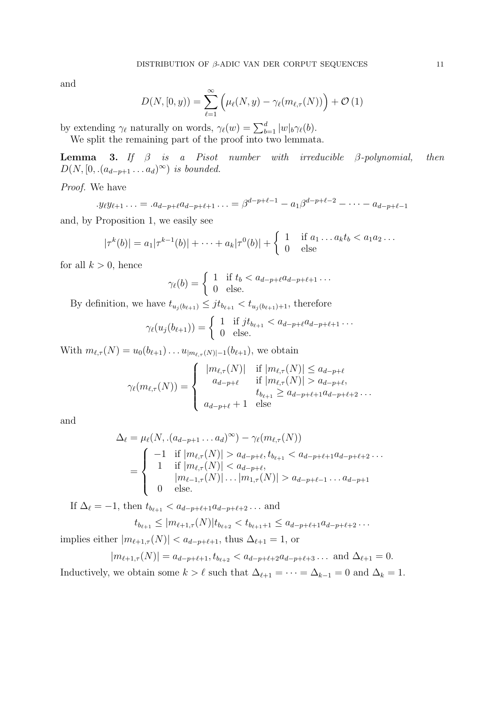and

$$
D(N, [0, y)) = \sum_{\ell=1}^{\infty} \left( \mu_{\ell}(N, y) - \gamma_{\ell}(m_{\ell, \tau}(N)) \right) + \mathcal{O}(1)
$$

by extending  $\gamma_{\ell}$  naturally on words,  $\gamma_{\ell}(w) = \sum_{b=1}^{d} |w|_b \gamma_{\ell}(b)$ .

We split the remaining part of the proof into two lemmata.

**Lemma 3.** If  $\beta$  is a Pisot number with irreducible  $\beta$ -polynomial, then  $D(N, [0, \ldots (a_{d-p+1} \ldots a_d)^\infty))$  is bounded.

Proof. We have

$$
\cdot y_{\ell}y_{\ell+1}\ldots = a_{d-p+\ell}a_{d-p+\ell+1}\ldots = \beta^{d-p+\ell-1} - a_1\beta^{d-p+\ell-2} - \ldots - a_{d-p+\ell-1}
$$

and, by Proposition 1, we easily see

$$
|\tau^{k}(b)| = a_1|\tau^{k-1}(b)| + \cdots + a_k|\tau^{0}(b)| + \begin{cases} 1 & \text{if } a_1 \ldots a_k t_k < a_1 a_2 \ldots \\ 0 & \text{else} \end{cases}
$$

for all  $k > 0$ , hence

$$
\gamma_{\ell}(b) = \begin{cases} 1 & \text{if } t_b < a_{d-p+\ell}a_{d-p+\ell+1} \dots \\ 0 & \text{else.} \end{cases}
$$

By definition, we have  $t_{u_i(b_{\ell+1})} \leq j t_{b_{\ell+1}} < t_{u_i(b_{\ell+1})+1}$ , therefore

$$
\gamma_{\ell}(u_j(b_{\ell+1})) = \begin{cases} 1 & \text{if } j t_{b_{\ell+1}} < a_{d-p+\ell} a_{d-p+\ell+1} \dots \\ 0 & \text{else.} \end{cases}
$$

With  $m_{\ell,\tau}(N) = u_0(b_{\ell+1})\ldots u_{|m_{\ell,\tau}(N)|-1}(b_{\ell+1}),$  we obtain

$$
\gamma_{\ell}(m_{\ell,\tau}(N)) = \begin{cases}\n|m_{\ell,\tau}(N)| & \text{if } |m_{\ell,\tau}(N)| \le a_{d-p+\ell} \\
a_{d-p+\ell} & \text{if } |m_{\ell,\tau}(N)| > a_{d-p+\ell}, \\
t_{b_{\ell+1}} \ge a_{d-p+\ell+1}a_{d-p+\ell+2} \dots \\
a_{d-p+\ell} + 1 & \text{else}\n\end{cases}
$$

and

$$
\Delta_{\ell} = \mu_{\ell}(N, \Delta_{d-p+1} \dots a_d)^{\infty}) - \gamma_{\ell}(m_{\ell,\tau}(N))
$$
\n
$$
= \begin{cases}\n-1 & \text{if } |m_{\ell,\tau}(N)| > a_{d-p+\ell}, t_{b_{\ell+1}} < a_{d-p+\ell+1}a_{d-p+\ell+2} \dots \\
1 & \text{if } |m_{\ell,\tau}(N)| < a_{d-p+\ell}, \\
m_{\ell-1,\tau}(N) \dots |m_{1,\tau}(N)| > a_{d-p+\ell-1} \dots a_{d-p+1} \\
0 & \text{else.} \n\end{cases}
$$

If  $\Delta_{\ell} = -1$ , then  $t_{b_{\ell+1}} < a_{d-p+\ell+1}a_{d-p+\ell+2} \dots$  and

$$
t_{b_{\ell+1}} \leq |m_{\ell+1,\tau}(N)|t_{b_{\ell+2}} < t_{b_{\ell+1}+1} \leq a_{d-p+\ell+1}a_{d-p+\ell+2}\ldots
$$

implies either  $|m_{\ell+1,\tau}(N)| < a_{d-p+\ell+1}$ , thus  $\Delta_{\ell+1} = 1$ , or

$$
|m_{\ell+1,\tau}(N)| = a_{d-p+\ell+1}, t_{b_{\ell+2}} < a_{d-p+\ell+2}a_{d-p+\ell+3} \dots \text{ and } \Delta_{\ell+1} = 0.
$$

Inductively, we obtain some  $k > \ell$  such that  $\Delta_{\ell+1} = \cdots = \Delta_{k-1} = 0$  and  $\Delta_k = 1$ .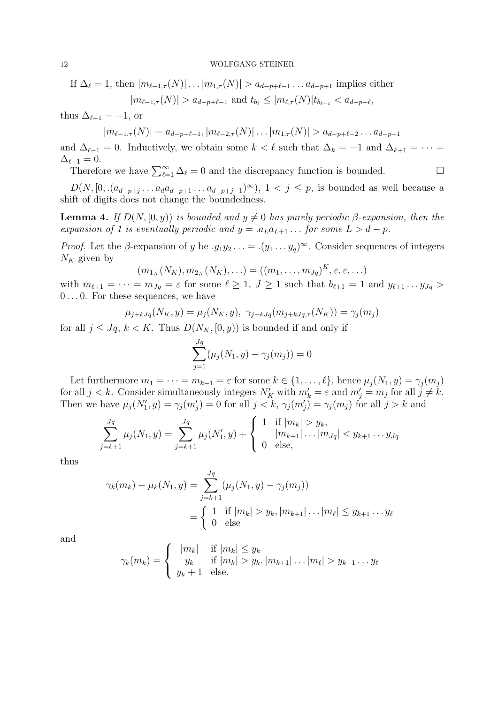If  $\Delta_{\ell} = 1$ , then  $|m_{\ell-1,\tau}(N)| \dots |m_{1,\tau}(N)| > a_{d-p+\ell-1} \dots a_{d-p+1}$  implies either  $|m_{\ell-1,\tau}(N)| > a_{d-p+\ell-1}$  and  $t_{b_\ell} \le |m_{\ell,\tau}(N)| t_{b_{\ell+1}} < a_{d-p+\ell}$ ,

thus  $\Delta_{\ell-1} = -1$ , or

 $|m_{\ell-1,\tau}(N)| = a_{d-p+\ell-1}, |m_{\ell-2,\tau}(N)| \ldots |m_{1,\tau}(N)| > a_{d-p+\ell-2} \ldots a_{d-p+1}$ 

and  $\Delta_{\ell-1} = 0$ . Inductively, we obtain some  $k < \ell$  such that  $\Delta_k = -1$  and  $\Delta_{k+1} = \cdots =$  $\Delta_{\ell-1} = 0.$ 

Therefore we have  $\sum_{\ell=1}^{\infty} \Delta_{\ell} = 0$  and the discrepancy function is bounded.

 $D(N, [0, \ldots (a_{d-p+j} \ldots a_d a_{d-p+1} \ldots a_{d-p+j-1})^{\infty}), 1 < j \le p$ , is bounded as well because a shift of digits does not change the boundedness.

**Lemma 4.** If  $D(N, [0, y))$  is bounded and  $y \neq 0$  has purely periodic β-expansion, then the expansion of 1 is eventually periodic and  $y = a_L a_{L+1} \dots$  for some  $L > d - p$ .

*Proof.* Let the  $\beta$ -expansion of y be  $y_1y_2 \ldots = (y_1 \ldots y_q)^\infty$ . Consider sequences of integers  $N_K$  given by

$$
(m_{1,\tau}(N_K), m_{2,\tau}(N_K), \ldots) = ((m_1, \ldots, m_{Jq})^K, \varepsilon, \varepsilon, \ldots)
$$

with  $m_{\ell+1} = \cdots = m_{Jq} = \varepsilon$  for some  $\ell \geq 1, J \geq 1$  such that  $b_{\ell+1} = 1$  and  $y_{\ell+1} \ldots y_{Jq} >$ 0 . . . 0. For these sequences, we have

$$
\mu_{j+kJq}(N_K, y) = \mu_j(N_K, y), \ \gamma_{j+kJq}(m_{j+kJq,\tau}(N_K)) = \gamma_j(m_j)
$$

for all  $j \leq Jq$ ,  $k < K$ . Thus  $D(N_K, [0, y))$  is bounded if and only if

$$
\sum_{j=1}^{Jq} (\mu_j(N_1, y) - \gamma_j(m_j)) = 0
$$

Let furthermore  $m_1 = \cdots = m_{k-1} = \varepsilon$  for some  $k \in \{1, \ldots, \ell\}$ , hence  $\mu_i(N_1, y) = \gamma_i(m_i)$ for all  $j < k$ . Consider simultaneously integers  $N'_K$  with  $m'_k = \varepsilon$  and  $m'_j = m_j$  for all  $j \neq k$ . Then we have  $\mu_j(N'_1, y) = \gamma_j(m'_j) = 0$  for all  $j < k$ ,  $\gamma_j(m'_j) = \gamma_j(m_j)$  for all  $j > k$  and

$$
\sum_{j=k+1}^{Jq} \mu_j(N_1, y) = \sum_{j=k+1}^{Jq} \mu_j(N'_1, y) + \begin{cases} 1 & \text{if } |m_k| > y_k, \\ 0 & |m_{k+1}| \dots |m_{Jq}| < y_{k+1} \dots y_{Jq} \\ 0 & \text{else,} \end{cases}
$$

thus

$$
\gamma_k(m_k) - \mu_k(N_1, y) = \sum_{j=k+1}^{Jq} (\mu_j(N_1, y) - \gamma_j(m_j))
$$
  
= 
$$
\begin{cases} 1 & \text{if } |m_k| > y_k, |m_{k+1}| \dots |m_\ell| \le y_{k+1} \dots y_\ell \\ 0 & \text{else} \end{cases}
$$

and

$$
\gamma_k(m_k) = \begin{cases}\n|m_k| & \text{if } |m_k| \leq y_k \\
y_k & \text{if } |m_k| > y_k, |m_{k+1}| \dots |m_\ell| > y_{k+1} \dots y_\ell \\
y_k + 1 & \text{else.} \n\end{cases}
$$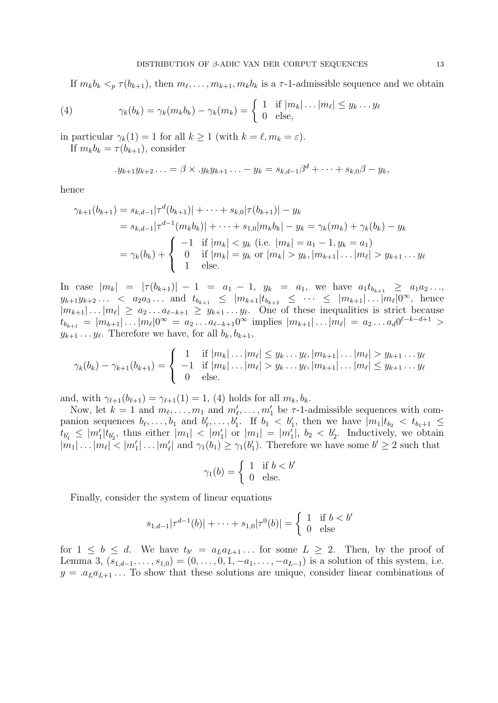If  $m_k b_k <_p \tau(b_{k+1})$ , then  $m_\ell, \ldots, m_{k+1}, m_k b_k$  is a  $\tau$ -1-admissible sequence and we obtain

(4) 
$$
\gamma_k(b_k) = \gamma_k(m_k b_k) - \gamma_k(m_k) = \begin{cases} 1 & \text{if } |m_k| \dots |m_\ell| \leq y_k \dots y_\ell \\ 0 & \text{else,} \end{cases}
$$

in particular  $\gamma_k(1) = 1$  for all  $k \geq 1$  (with  $k = \ell, m_k = \varepsilon$ ).

If  $m_k b_k = \tau(b_{k+1})$ , consider

$$
y_{k+1}y_{k+2}\ldots = \beta \times y_ky_{k+1}\ldots - y_k = s_{k,d-1}\beta^d + \cdots + s_{k,0}\beta - y_k,
$$

hence

$$
\gamma_{k+1}(b_{k+1}) = s_{k,d-1}|\tau^d(b_{k+1})| + \dots + s_{k,0}|\tau(b_{k+1})| - y_k
$$
  
=  $s_{k,d-1}|\tau^{d-1}(m_k b_k)| + \dots + s_{1,0}|m_k b_k| - y_k = \gamma_k(m_k) + \gamma_k(b_k) - y_k$   
=  $\gamma_k(b_k) + \begin{cases} -1 & \text{if } |m_k| < y_k \text{ (i.e. } |m_k| = a_1 - 1, y_k = a_1) \\ 0 & \text{if } |m_k| = y_k \text{ or } |m_k| > y_k, |m_{k+1}| \dots |m_\ell| > y_{k+1} \dots y_\ell \\ 1 & \text{else.} \end{cases}$ 

In case  $|m_k| = |\tau(b_{k+1})| - 1 = a_1 - 1$ ,  $y_k = a_1$ , we have  $a_1 t_{b_{k+1}} \ge a_1 a_2 \ldots$ ,  $y_{k+1}y_{k+2} \ldots$   $\langle a_2 a_3 \ldots \rangle$  and  $t_{b_{k+1}} \leq |m_{k+1}|t_{b_{k+2}} \leq \cdots \leq |m_{k+1}| \ldots |m_{\ell}|0^{\infty}$ , hence  $|m_{k+1}| \dots |m_{\ell}| \ge a_2 \dots a_{\ell-k+1} \ge y_{k+1} \dots y_{\ell}$ . One of these inequalities is strict because  $t_{b_{k+1}} = |m_{k+1}| \dots |m_{\ell}| 0^{\infty} = a_2 \dots a_{\ell-k+1} 0^{\infty}$  implies  $|m_{k+1}| \dots |m_{\ell}| = a_2 \dots a_d 0^{\ell-k-d+1} >$  $y_{k+1} \dots y_{\ell}$ . Therefore we have, for all  $b_k, b_{k+1}$ ,

$$
\gamma_k(b_k) - \gamma_{k+1}(b_{k+1}) = \begin{cases} 1 & \text{if } |m_k| \dots |m_\ell| \le y_k \dots y_\ell, |m_{k+1}| \dots |m_\ell| > y_{k+1} \dots y_\ell \\ -1 & \text{if } |m_k| \dots |m_\ell| > y_k \dots y_\ell, |m_{k+1}| \dots |m_\ell| \le y_{k+1} \dots y_\ell \\ 0 & \text{else.} \end{cases}
$$

and, with  $\gamma_{\ell+1}(b_{\ell+1}) = \gamma_{\ell+1}(1) = 1$ , (4) holds for all  $m_k, b_k$ .

Now, let  $k = 1$  and  $m_\ell, \ldots, m_1$  and  $m'_\ell, \ldots, m'_1$  be  $\tau$ -1-admissible sequences with companion sequences  $b_\ell, \ldots, b_1$  and  $b'_\ell, \ldots, b'_1$ . If  $b_1 < b'_1$ , then we have  $|m_1|t_{b_2} < t_{b_1+1} \le$  $t_{b'_1} \leq |m'_1| t_{b'_2}$ , thus either  $|m_1| < |m'_1|$  or  $|m_1| = |m'_1|$ ,  $b_2 < b'_2$ . Inductively, we obtain  $|m_1| \ldots |m_\ell| < |m'_1| \ldots |m'_\ell|$  and  $\gamma_1(b_1) \ge \gamma_1(b'_1)$ . Therefore we have some  $b' \ge 2$  such that

$$
\gamma_1(b) = \begin{cases} 1 & \text{if } b < b' \\ 0 & \text{else.} \end{cases}
$$

Finally, consider the system of linear equations

$$
s_{1,d-1}|\tau^{d-1}(b)| + \dots + s_{1,0}|\tau^0(b)| = \begin{cases} 1 & \text{if } b < b' \\ 0 & \text{else} \end{cases}
$$

for  $1 \leq b \leq d$ . We have  $t_{b'} = a_L a_{L+1} \dots$  for some  $L \geq 2$ . Then, by the proof of Lemma 3,  $(s_{1,d-1},...,s_{1,0}) = (0,...,0,1,-a_1,...,-a_{L-1})$  is a solution of this system, i.e.  $y = a_L a_{L+1} \dots$  To show that these solutions are unique, consider linear combinations of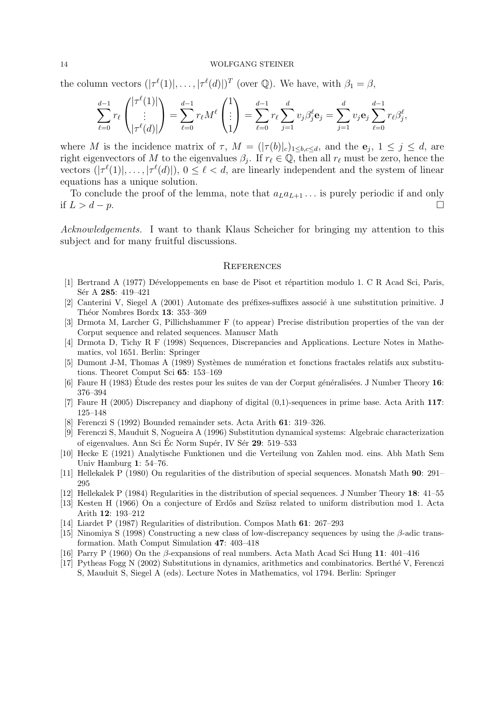the column vectors  $(|\tau^{\ell}(1)|, \ldots, |\tau^{\ell}(d)|)^{T}$  (over  $\mathbb{Q}$ ). We have, with  $\beta_1 = \beta$ ,

$$
\sum_{\ell=0}^{d-1} r_{\ell} \binom{|\tau^{\ell}(1)|}{|\tau^{\ell}(d)|} = \sum_{\ell=0}^{d-1} r_{\ell} M^{\ell} \binom{1}{1} = \sum_{\ell=0}^{d-1} r_{\ell} \sum_{j=1}^{d} v_{j} \beta_{j}^{\ell} \mathbf{e}_{j} = \sum_{j=1}^{d} v_{j} \mathbf{e}_{j} \sum_{\ell=0}^{d-1} r_{\ell} \beta_{j}^{\ell},
$$

where M is the incidence matrix of  $\tau$ ,  $M = (|\tau(b)|_c)_{1 \leq b,c \leq d}$ , and the  $e_j$ ,  $1 \leq j \leq d$ , are right eigenvectors of M to the eigenvalues  $\beta_j$ . If  $r_\ell \in \mathbb{Q}$ , then all  $r_\ell$  must be zero, hence the vectors  $(|\tau^{\ell}(1)|, \ldots, |\tau^{\ell}(d)|)$ ,  $0 \leq \ell < d$ , are linearly independent and the system of linear equations has a unique solution.

To conclude the proof of the lemma, note that  $a_L a_{L+1} \dots$  is purely periodic if and only if  $L > d - p$ . □

Acknowledgements. I want to thank Klaus Scheicher for bringing my attention to this subject and for many fruitful discussions.

### **REFERENCES**

- [1] Bertrand A (1977) Développements en base de Pisot et répartition modulo 1. C R Acad Sci, Paris, Sér A 285: 419–421
- [2] Canterini V, Siegel A (2001) Automate des préfixes-suffixes associé à une substitution primitive. J Théor Nombres Bordx 13: 353-369
- [3] Drmota M, Larcher G, Pillichshammer F (to appear) Precise distribution properties of the van der Corput sequence and related sequences. Manuscr Math
- [4] Drmota D, Tichy R F (1998) Sequences, Discrepancies and Applications. Lecture Notes in Mathematics, vol 1651. Berlin: Springer
- [5] Dumont J-M, Thomas A (1989) Systèmes de numération et fonctions fractales relatifs aux substitutions. Theoret Comput Sci 65: 153–169
- [6] Faure H (1983) Étude des restes pour les suites de van der Corput généralisées. J Number Theory 16: 376–394
- [7] Faure H (2005) Discrepancy and diaphony of digital (0,1)-sequences in prime base. Acta Arith 117: 125–148
- [8] Ferenczi S (1992) Bounded remainder sets. Acta Arith 61: 319–326.
- [9] Ferenczi S, Mauduit S, Nogueira A (1996) Substitution dynamical systems: Algebraic characterization of eigenvalues. Ann Sci Éc Norm Supér, IV Sér 29: 519–533
- [10] Hecke E (1921) Analytische Funktionen und die Verteilung von Zahlen mod. eins. Abh Math Sem Univ Hamburg 1: 54–76.
- [11] Hellekalek P (1980) On regularities of the distribution of special sequences. Monatsh Math 90: 291– 295
- [12] Hellekalek P (1984) Regularities in the distribution of special sequences. J Number Theory 18: 41–55
- [13] Kesten H (1966) On a conjecture of Erdős and Szüsz related to uniform distribution mod 1. Acta Arith 12: 193–212
- [14] Liardet P (1987) Regularities of distribution. Compos Math 61: 267–293
- [15] Ninomiya S (1998) Constructing a new class of low-discrepancy sequences by using the β-adic transformation. Math Comput Simulation 47: 403–418
- [16] Parry P (1960) On the β-expansions of real numbers. Acta Math Acad Sci Hung 11: 401–416
- [17] Pytheas Fogg N (2002) Substitutions in dynamics, arithmetics and combinatorics. Berth´e V, Ferenczi S, Mauduit S, Siegel A (eds). Lecture Notes in Mathematics, vol 1794. Berlin: Springer